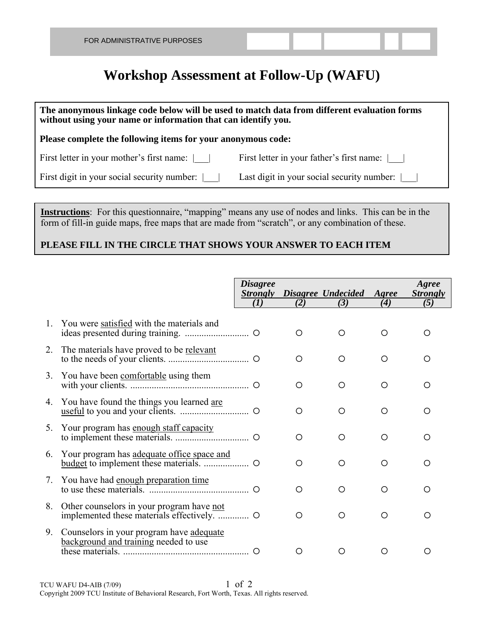## **Workshop Assessment at Follow-Up (WAFU)**

| The anonymous linkage code below will be used to match data from different evaluation forms<br>without using your name or information that can identify you. |                                                          |  |  |  |  |  |  |  |
|--------------------------------------------------------------------------------------------------------------------------------------------------------------|----------------------------------------------------------|--|--|--|--|--|--|--|
| Please complete the following items for your anonymous code:                                                                                                 |                                                          |  |  |  |  |  |  |  |
| First letter in your mother's first name:                                                                                                                    | First letter in your father's first name:                |  |  |  |  |  |  |  |
| First digit in your social security number:                                                                                                                  | Last digit in your social security number: $\vert \vert$ |  |  |  |  |  |  |  |

**Instructions**: For this questionnaire, "mapping" means any use of nodes and links. This can be in the form of fill-in guide maps, free maps that are made from "scratch", or any combination of these.

## **PLEASE FILL IN THE CIRCLE THAT SHOWS YOUR ANSWER TO EACH ITEM**

|         |                                                                                   | <b>Disagree</b><br>$\left( I\right)$ | (2) | <b>Strongly</b> Disagree Undecided<br>(3) | Agree<br>(4) | Agree<br><i><b>Strongly</b></i><br>(5) |
|---------|-----------------------------------------------------------------------------------|--------------------------------------|-----|-------------------------------------------|--------------|----------------------------------------|
|         |                                                                                   |                                      |     |                                           |              |                                        |
| $1_{-}$ | You were satisfied with the materials and                                         |                                      | O   | ∩                                         | O            | Ω                                      |
| 2.      | The materials have proved to be relevant                                          |                                      | O   | ∩                                         | O            | ∩                                      |
|         | 3. You have been comfortable using them                                           |                                      | O   | ∩                                         | ◯            | ∩                                      |
| 4.      | You have found the things you learned are                                         |                                      | O   | ∩                                         | O            | ∩                                      |
| 5.      | Your program has enough staff capacity                                            |                                      | ◯   | Ω                                         | Ω            | ∩                                      |
| 6.      | Your program has adequate office space and                                        |                                      | ◯   | ∩                                         | O            | ∩                                      |
| 7.      |                                                                                   |                                      | O   | ∩                                         | ◯            | ∩                                      |
| 8.      | Other counselors in your program have not                                         |                                      | O   | O                                         | O            | Ω                                      |
| 9.      | Counselors in your program have adequate<br>background and training needed to use |                                      |     |                                           | ( )          | ( )                                    |